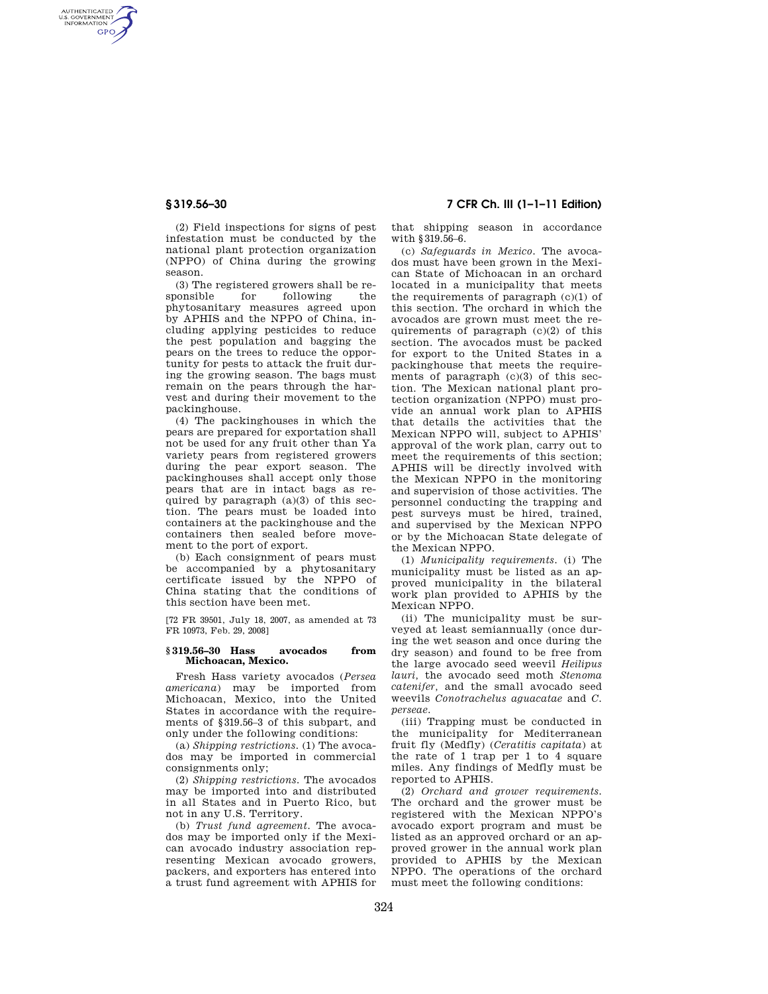AUTHENTICATED<br>U.S. GOVERNMENT<br>INFORMATION **GPO** 

> (2) Field inspections for signs of pest infestation must be conducted by the national plant protection organization (NPPO) of China during the growing season.

> (3) The registered growers shall be re-<br>sponsible for following the for following the phytosanitary measures agreed upon by APHIS and the NPPO of China, including applying pesticides to reduce the pest population and bagging the pears on the trees to reduce the opportunity for pests to attack the fruit during the growing season. The bags must remain on the pears through the harvest and during their movement to the packinghouse.

> (4) The packinghouses in which the pears are prepared for exportation shall not be used for any fruit other than Ya variety pears from registered growers during the pear export season. The packinghouses shall accept only those pears that are in intact bags as required by paragraph  $(a)(3)$  of this section. The pears must be loaded into containers at the packinghouse and the containers then sealed before movement to the port of export.

> (b) Each consignment of pears must be accompanied by a phytosanitary certificate issued by the NPPO of China stating that the conditions of this section have been met.

> [72 FR 39501, July 18, 2007, as amended at 73 FR 10973, Feb. 29, 2008]

## **§ 319.56–30 Hass avocados from Michoacan, Mexico.**

Fresh Hass variety avocados (*Persea americana*) may be imported from Michoacan, Mexico, into the United States in accordance with the requirements of §319.56–3 of this subpart, and only under the following conditions:

(a) *Shipping restrictions.* (1) The avocados may be imported in commercial consignments only;

(2) *Shipping restrictions.* The avocados may be imported into and distributed in all States and in Puerto Rico, but not in any U.S. Territory.

(b) *Trust fund agreement.* The avocados may be imported only if the Mexican avocado industry association representing Mexican avocado growers, packers, and exporters has entered into a trust fund agreement with APHIS for

**§ 319.56–30 7 CFR Ch. III (1–1–11 Edition)** 

that shipping season in accordance with §319.56–6.

(c) *Safeguards in Mexico.* The avocados must have been grown in the Mexican State of Michoacan in an orchard located in a municipality that meets the requirements of paragraph  $(c)(1)$  of this section. The orchard in which the avocados are grown must meet the requirements of paragraph (c)(2) of this section. The avocados must be packed for export to the United States in a packinghouse that meets the requirements of paragraph  $(c)(3)$  of this section. The Mexican national plant protection organization (NPPO) must provide an annual work plan to APHIS that details the activities that the Mexican NPPO will, subject to APHIS' approval of the work plan, carry out to meet the requirements of this section; APHIS will be directly involved with the Mexican NPPO in the monitoring and supervision of those activities. The personnel conducting the trapping and pest surveys must be hired, trained, and supervised by the Mexican NPPO or by the Michoacan State delegate of the Mexican NPPO.

(1) *Municipality requirements.* (i) The municipality must be listed as an approved municipality in the bilateral work plan provided to APHIS by the Mexican NPPO.

(ii) The municipality must be surveyed at least semiannually (once during the wet season and once during the dry season) and found to be free from the large avocado seed weevil *Heilipus lauri,* the avocado seed moth *Stenoma catenifer,* and the small avocado seed weevils *Conotrachelus aguacatae* and *C. perseae.* 

(iii) Trapping must be conducted in the municipality for Mediterranean fruit fly (Medfly) (*Ceratitis capitata*) at the rate of 1 trap per 1 to 4 square miles. Any findings of Medfly must be reported to APHIS.

(2) *Orchard and grower requirements.*  The orchard and the grower must be registered with the Mexican NPPO's avocado export program and must be listed as an approved orchard or an approved grower in the annual work plan provided to APHIS by the Mexican NPPO. The operations of the orchard must meet the following conditions: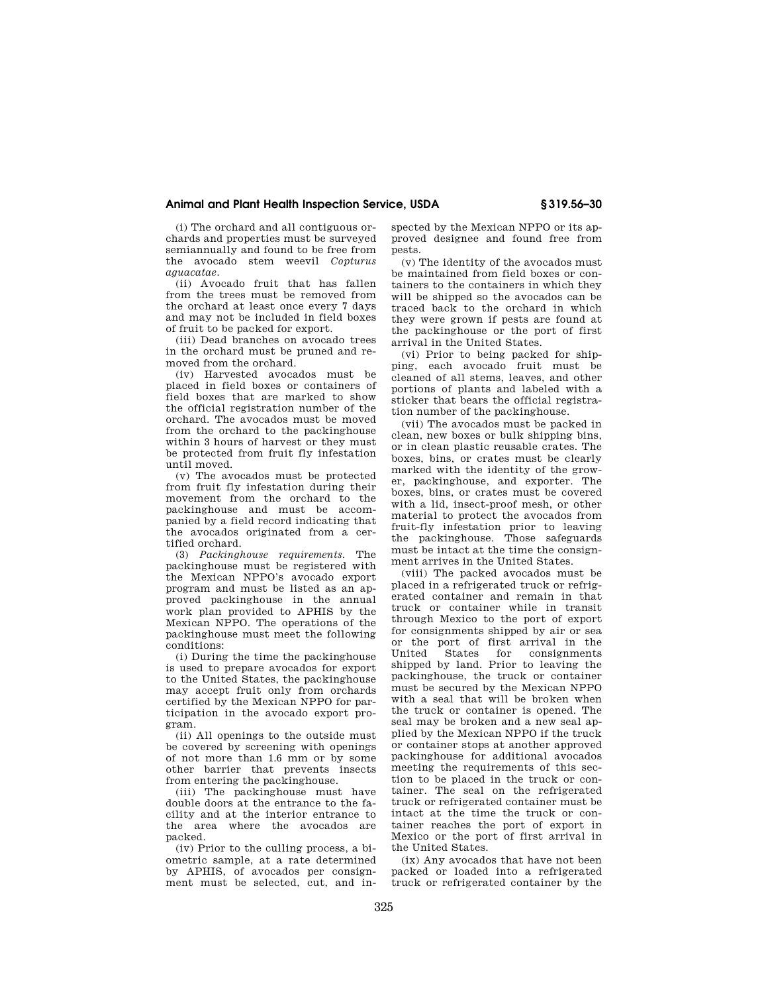## **Animal and Plant Health Inspection Service, USDA § 319.56–30**

(i) The orchard and all contiguous orchards and properties must be surveyed semiannually and found to be free from the avocado stem weevil *Copturus aguacatae.* 

(ii) Avocado fruit that has fallen from the trees must be removed from the orchard at least once every 7 days and may not be included in field boxes of fruit to be packed for export.

(iii) Dead branches on avocado trees in the orchard must be pruned and removed from the orchard.

(iv) Harvested avocados must be placed in field boxes or containers of field boxes that are marked to show the official registration number of the orchard. The avocados must be moved from the orchard to the packinghouse within 3 hours of harvest or they must be protected from fruit fly infestation until moved.

(v) The avocados must be protected from fruit fly infestation during their movement from the orchard to the packinghouse and must be accompanied by a field record indicating that the avocados originated from a certified orchard.

(3) *Packinghouse requirements.* The packinghouse must be registered with the Mexican NPPO's avocado export program and must be listed as an approved packinghouse in the annual work plan provided to APHIS by the Mexican NPPO. The operations of the packinghouse must meet the following conditions:

(i) During the time the packinghouse is used to prepare avocados for export to the United States, the packinghouse may accept fruit only from orchards certified by the Mexican NPPO for participation in the avocado export program.

(ii) All openings to the outside must be covered by screening with openings of not more than 1.6 mm or by some other barrier that prevents insects from entering the packinghouse.

(iii) The packinghouse must have double doors at the entrance to the facility and at the interior entrance to the area where the avocados are packed.

(iv) Prior to the culling process, a biometric sample, at a rate determined by APHIS, of avocados per consignment must be selected, cut, and inspected by the Mexican NPPO or its approved designee and found free from pests.

(v) The identity of the avocados must be maintained from field boxes or containers to the containers in which they will be shipped so the avocados can be traced back to the orchard in which they were grown if pests are found at the packinghouse or the port of first arrival in the United States.

(vi) Prior to being packed for shipping, each avocado fruit must be cleaned of all stems, leaves, and other portions of plants and labeled with a sticker that bears the official registration number of the packinghouse.

(vii) The avocados must be packed in clean, new boxes or bulk shipping bins, or in clean plastic reusable crates. The boxes, bins, or crates must be clearly marked with the identity of the grower, packinghouse, and exporter. The boxes, bins, or crates must be covered with a lid, insect-proof mesh, or other material to protect the avocados from fruit-fly infestation prior to leaving the packinghouse. Those safeguards must be intact at the time the consignment arrives in the United States.

(viii) The packed avocados must be placed in a refrigerated truck or refrigerated container and remain in that truck or container while in transit through Mexico to the port of export for consignments shipped by air or sea or the port of first arrival in the United States for consignments shipped by land. Prior to leaving the packinghouse, the truck or container must be secured by the Mexican NPPO with a seal that will be broken when the truck or container is opened. The seal may be broken and a new seal applied by the Mexican NPPO if the truck or container stops at another approved packinghouse for additional avocados meeting the requirements of this section to be placed in the truck or container. The seal on the refrigerated truck or refrigerated container must be intact at the time the truck or container reaches the port of export in Mexico or the port of first arrival in the United States.

(ix) Any avocados that have not been packed or loaded into a refrigerated truck or refrigerated container by the